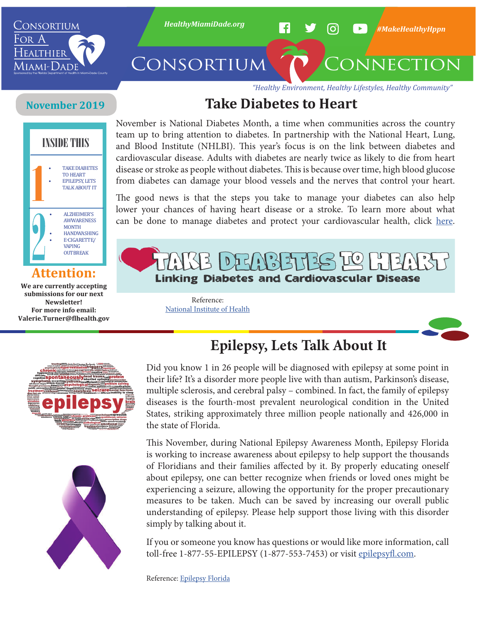

*"Healthy Environment, Healthy Lifestyles, Healthy Community"*

# **Take Diabetes to Heart**

# **November 2019**



### **Attention:**

**We are currently accepting submissions for our next Newsletter! For more info email: Valerie.Turner@flhealth.gov** November is National Diabetes Month, a time when communities across the country team up to bring attention to diabetes. In partnership with the National Heart, Lung, and Blood Institute (NHLBI). This year's focus is on the link between diabetes and cardiovascular disease. Adults with diabetes are nearly twice as likely to die from heart disease or stroke as people without diabetes. This is because over time, high blood glucose from diabetes can damage your blood vessels and the nerves that control your heart.

The good news is that the steps you take to manage your diabetes can also help lower your chances of having heart disease or a stroke. To learn more about what can be done to manage diabetes and protect your cardiovascular health, click [here](https://www.niddk.nih.gov/health-information/communication-programs/ndep/partner-community-organization-information/national-diabetes-month).



Reference: [National Institute of Health](https://www.niddk.nih.gov/health-information/communication-programs/ndep/partner-community-organization-information/national-diabetes-month)





**Epilepsy, Lets Talk About It**

Did you know 1 in 26 people will be diagnosed with epilepsy at some point in their life? It's a disorder more people live with than autism, Parkinson's disease, multiple sclerosis, and cerebral palsy – combined. In fact, the family of epilepsy diseases is the fourth-most prevalent neurological condition in the United States, striking approximately three million people nationally and 426,000 in the state of Florida.

This November, during National Epilepsy Awareness Month, Epilepsy Florida is working to increase awareness about epilepsy to help support the thousands of Floridians and their families affected by it. By properly educating oneself about epilepsy, one can better recognize when friends or loved ones might be experiencing a seizure, allowing the opportunity for the proper precautionary measures to be taken. Much can be saved by increasing our overall public understanding of epilepsy. Please help support those living with this disorder simply by talking about it.

If you or someone you know has questions or would like more information, call toll-free 1-877-55-EPILEPSY (1-877-553-7453) or visit [epilepsyfl.com.](https://www.epilepsyfl.com/)

Reference: [Epilepsy Florida](https://www.epilepsyfl.com/)